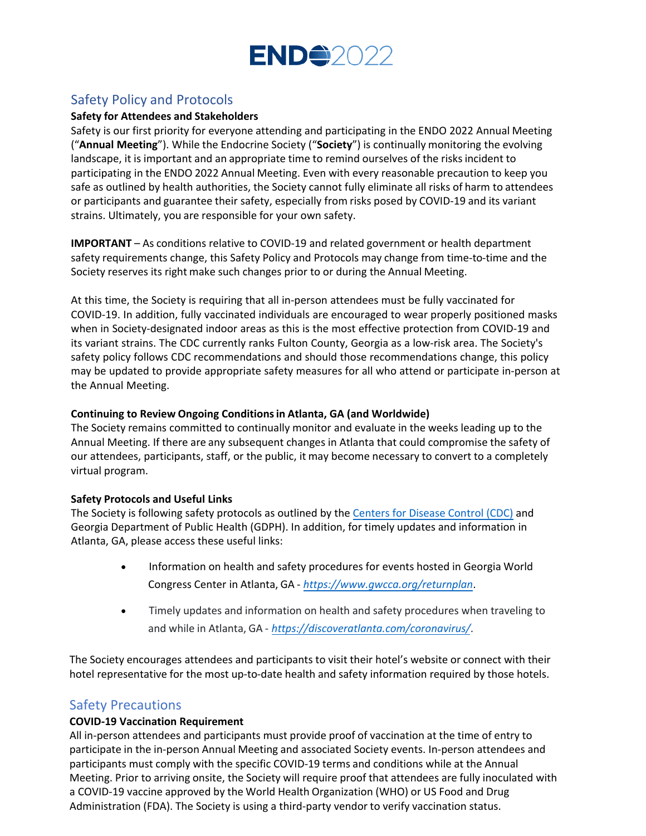

## Safety Policy and Protocols

#### **Safety for Attendees and Stakeholders**

Safety is our first priority for everyone attending and participating in the ENDO 2022 Annual Meeting ("**Annual Meeting**"). While the Endocrine Society ("**Society**") is continually monitoring the evolving landscape, it is important and an appropriate time to remind ourselves of the risks incident to participating in the ENDO 2022 Annual Meeting. Even with every reasonable precaution to keep you safe as outlined by health authorities, the Society cannot fully eliminate all risks of harm to attendees or participants and guarantee their safety, especially from risks posed by COVID-19 and its variant strains. Ultimately, you are responsible for your own safety.

**IMPORTANT** – As conditions relative to COVID-19 and related government or health department safety requirements change, this Safety Policy and Protocols may change from time-to-time and the Society reserves its right make such changes prior to or during the Annual Meeting.

At this time, the Society is requiring that all in-person attendees must be fully vaccinated for COVID-19. In addition, fully vaccinated individuals are encouraged to wear properly positioned masks when in Society-designated indoor areas as this is the most effective protection from COVID-19 and its variant strains. The CDC currently ranks Fulton County, Georgia as a low-risk area. The Society's safety policy follows CDC recommendations and should those recommendations change, this policy may be updated to provide appropriate safety measures for all who attend or participate in-person at the Annual Meeting.

#### **Continuing to Review Ongoing Conditions in Atlanta, GA (and Worldwide)**

The Society remains committed to continually monitor and evaluate in the weeks leading up to the Annual Meeting. If there are any subsequent changes in Atlanta that could compromise the safety of our attendees, participants, staff, or the public, it may become necessary to convert to a completely virtual program.

#### **Safety Protocols and Useful Links**

The Society is following safety protocols as outlined by the [Centers for Disease Control \(CDC\)](https://www.cdc.gov/coronavirus/2019-ncov/communication/guidance.html) and Georgia Department of Public Health (GDPH). In addition, for timely updates and information in Atlanta, GA, please access these useful links:

- Information on health and safet[y procedures for events hosted in Ge](https://www.gwcca.org/returnplan)orgia World Congress Center in Atlanta, GA - *[https://www.gwcca.org/returnplan](https://discoveratlanta.com/coronavirus/)*.
- Timely updates and information on health and safety procedures when traveling to and while in Atlanta, GA - *https://discoveratlanta.com/coronavirus/*.

The Society encourages attendees and participants to visit their hotel's website or connect with their hotel representative for the most up-to-date health and safety information required by those hotels.

### Safety Precautions

#### **COVID-19 Vaccination Requirement**

All in-person attendees and participants must provide proof of vaccination at the time of entry to participate in the in-person Annual Meeting and associated Society events. In-person attendees and participants must comply with the specific COVID-19 terms and conditions while at the Annual Meeting. Prior to arriving onsite, the Society will require proof that attendees are fully inoculated with a COVID-19 vaccine approved by the World Health Organization (WHO) or US Food and Drug Administration (FDA). The Society is using a third-party vendor to verify vaccination status.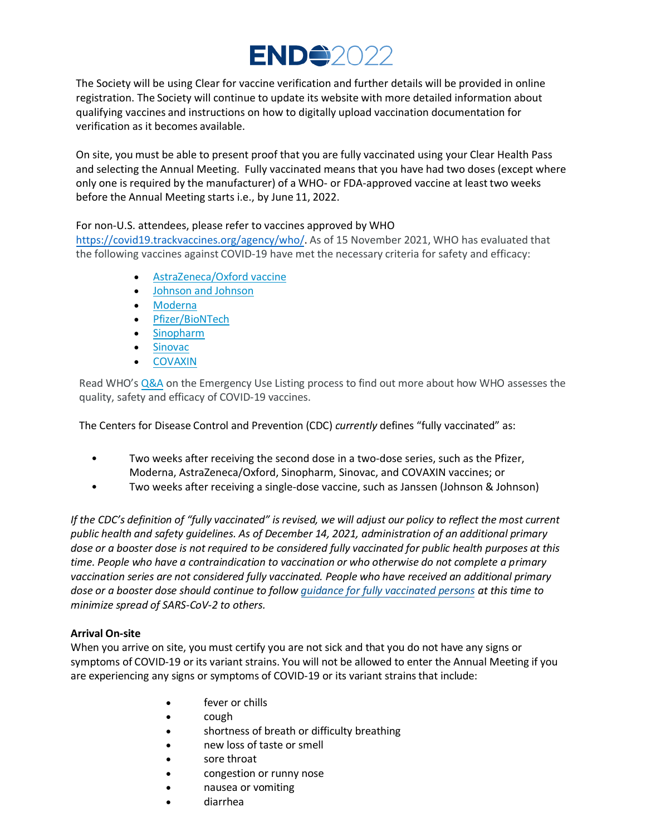

The Society will be using Clear for vaccine verification and further details will be provided in online registration. The Society will continue to update its website with more detailed information about qualifying vaccines and instructions on how to digitally upload vaccination documentation for verification as it becomes available.

On site, you must be able to present proof that you are fully vaccinated using your Clear Health Pass and selecting the Annual Meeting. Fully vaccinated means that you have had two doses (except where only one is required by the manufacturer) of a WHO- or FDA-approved vaccine at least two weeks before the Annual Meeting starts i.e., by June 11, 2022.

#### [For non-U.S. attendees, please refer to vaccines](https://covid19.trackvaccines.org/agency/who/) approved by WHO

https://covid19.trackvaccines.org/agency/who/. As of 15 November 2021, WHO has evaluated that the following v[accines against COVID-19 hav](https://www.who.int/news-room/feature-stories/detail/the-oxford-astrazeneca-covid-19-vaccine-what-you-need-to-know)e met the necessary criteria for safety and efficacy:

- [AstraZene](https://www.who.int/news-room/feature-stories/detail/the-moderna-covid-19-mrna-1273-vaccine-what-you-need-to-know)[ca/Oxford v](https://www.who.int/news-room/feature-stories/detail/the-j-j-covid-19-vaccine-what-you-need-to-know)accine
- [Johnson and Joh](https://www.who.int/news-room/feature-stories/detail/who-can-take-the-pfizer-biontech-covid-19--vaccine)nson
- [Moderna](https://www.who.int/news-room/feature-stories/detail/the-sinopharm-covid-19-vaccine-what-you-need-to-know)
- [Pfizer/B](https://www.who.int/news-room/feature-stories/detail/the-sinovac-covid-19-vaccine-what-you-need-to-know)ioNTech
- [Sinopharm](https://www.who.int/news-room/feature-stories/detail/the-bharat-biotech-bbv152-covaxin-vaccine-against-covid-19-what-you-need-to-know)
- [Sin](https://www.who.int/news-room/questions-and-answers/item/coronavirus-disease-use-of-emergency-use-listing-procedure-forvaccines-against-covid-19)ovac
- COVAXIN

Read WHO's Q&A on the Emergency Use Listing process to find out more about how WHO assesses the quality, safety and efficacy of COVID-19 vaccines.

The Centers for Disease Control and Prevention (CDC) *currently* defines "fully vaccinated" as:

- Two weeks after receiving the second dose in a two-dose series, such as the Pfizer, Moderna, AstraZeneca/Oxford, Sinopharm, Sinovac, and COVAXIN vaccines; or
- Two weeks after receiving a single-dose vaccine, such as Janssen (Johnson & Johnson)

If the CDC's definition of "fully vaccinated" is revised, we will adjust our policy to reflect the most current *public health and safety guidelines. As of Decemb[er 14, 2021, administration of an addit](https://www.cdc.gov/coronavirus/2019-ncov/vaccines/fully-vaccinated.html)ional primary dose or a booster dose is not required to be considered fully vaccinated for public health purposes at this time. People who have a contraindication to vaccination or who otherwise do not complete a primary vaccination series are not considered fully vaccinated. People who have received an additional primary dose or a booster dose should continue to follow guidance for fully vaccinated persons at this time to minimize spread of SARS-CoV-2 to others.*

#### **Arrival On-site**

When you arrive on site, you must certify you are not sick and that you do not have any signs or symptoms of COVID-19 or its variant strains. You will not be allowed to enter the Annual Meeting if you are experiencing any signs or symptoms of COVID-19 or its variant strains that include:

- fever or chills
- cough
- shortness of breath or difficulty breathing
- new loss of taste or smell
- sore throat
- congestion or runny nose
- nausea or vomiting
- diarrhea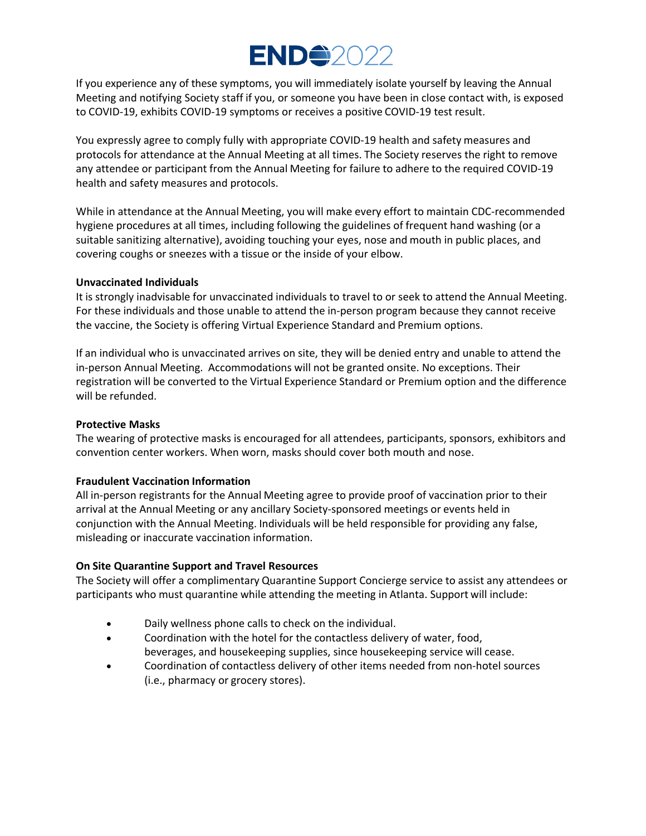# **END42022**

If you experience any of these symptoms, you will immediately isolate yourself by leaving the Annual Meeting and notifying Society staff if you, or someone you have been in close contact with, is exposed to COVID-19, exhibits COVID-19 symptoms or receives a positive COVID-19 test result.

You expressly agree to comply fully with appropriate COVID-19 health and safety measures and protocols for attendance at the Annual Meeting at all times. The Society reserves the right to remove any attendee or participant from the Annual Meeting for failure to adhere to the required COVID-19 health and safety measures and protocols.

While in attendance at the Annual Meeting, you will make every effort to maintain CDC-recommended hygiene procedures at all times, including following the guidelines of frequent hand washing (or a suitable sanitizing alternative), avoiding touching your eyes, nose and mouth in public places, and covering coughs or sneezes with a tissue or the inside of your elbow.

#### **Unvaccinated Individuals**

It is strongly inadvisable for unvaccinated individuals to travel to or seek to attend the Annual Meeting. For these individuals and those unable to attend the in-person program because they cannot receive the vaccine, the Society is offering Virtual Experience Standard and Premium options.

If an individual who is unvaccinated arrives on site, they will be denied entry and unable to attend the in-person Annual Meeting. Accommodations will not be granted onsite. No exceptions. Their registration will be converted to the Virtual Experience Standard or Premium option and the difference will be refunded.

#### **Protective Masks**

The wearing of protective masks is encouraged for all attendees, participants, sponsors, exhibitors and convention center workers. When worn, masks should cover both mouth and nose.

#### **Fraudulent Vaccination Information**

All in-person registrants for the Annual Meeting agree to provide proof of vaccination prior to their arrival at the Annual Meeting or any ancillary Society-sponsored meetings or events held in conjunction with the Annual Meeting. Individuals will be held responsible for providing any false, misleading or inaccurate vaccination information.

#### **On Site Quarantine Support and Travel Resources**

The Society will offer a complimentary Quarantine Support Concierge service to assist any attendees or participants who must quarantine while attending the meeting in Atlanta. Support will include:

- Daily wellness phone calls to check on the individual.
- Coordination with the hotel for the contactless delivery of water, food, beverages, and housekeeping supplies, since housekeeping service will cease.
- Coordination of contactless delivery of other items needed from non-hotel sources (i.e., pharmacy or grocery stores).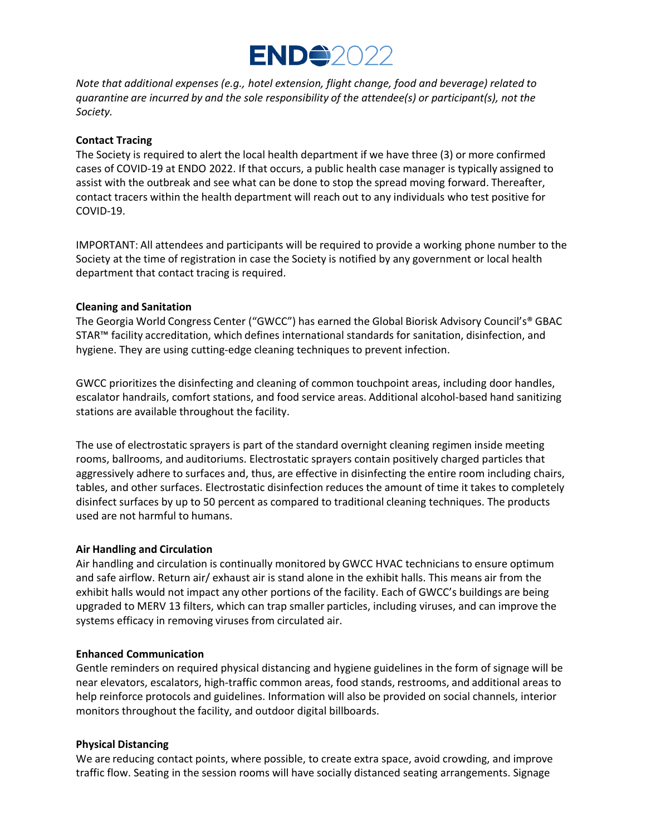

*Note that additional expenses (e.g., hotel extension, flight change, food and beverage) related to quarantine are incurred by and the sole responsibility of the attendee(s) or participant(s), not the Society.* 

#### **Contact Tracing**

The Society is required to alert the local health department if we have three (3) or more confirmed cases of COVID-19 at ENDO 2022. If that occurs, a public health case manager is typically assigned to assist with the outbreak and see what can be done to stop the spread moving forward. Thereafter, contact tracers within the health department will reach out to any individuals who test positive for COVID-19.

IMPORTANT: All attendees and participants will be required to provide a working phone number to the Society at the time of registration in case the Society is notified by any government or local health department that contact tracing is required.

#### **Cleaning and Sanitation**

The Georgia World Congress Center ("GWCC") has earned the Global Biorisk Advisory Council's® GBAC STAR™ facility accreditation, which defines international standards for sanitation, disinfection, and hygiene. They are using cutting-edge cleaning techniques to prevent infection.

GWCC prioritizes the disinfecting and cleaning of common touchpoint areas, including door handles, escalator handrails, comfort stations, and food service areas. Additional alcohol-based hand sanitizing stations are available throughout the facility.

The use of electrostatic sprayers is part of the standard overnight cleaning regimen inside meeting rooms, ballrooms, and auditoriums. Electrostatic sprayers contain positively charged particles that aggressively adhere to surfaces and, thus, are effective in disinfecting the entire room including chairs, tables, and other surfaces. Electrostatic disinfection reduces the amount of time it takes to completely disinfect surfaces by up to 50 percent as compared to traditional cleaning techniques. The products used are not harmful to humans.

#### **Air Handling and Circulation**

Air handling and circulation is continually monitored by GWCC HVAC technicians to ensure optimum and safe airflow. Return air/ exhaust air is stand alone in the exhibit halls. This means air from the exhibit halls would not impact any other portions of the facility. Each of GWCC's buildings are being upgraded to MERV 13 filters, which can trap smaller particles, including viruses, and can improve the systems efficacy in removing viruses from circulated air.

#### **Enhanced Communication**

Gentle reminders on required physical distancing and hygiene guidelines in the form of signage will be near elevators, escalators, high-traffic common areas, food stands, restrooms, and additional areas to help reinforce protocols and guidelines. Information will also be provided on social channels, interior monitors throughout the facility, and outdoor digital billboards.

#### **Physical Distancing**

We are reducing contact points, where possible, to create extra space, avoid crowding, and improve traffic flow. Seating in the session rooms will have socially distanced seating arrangements. Signage